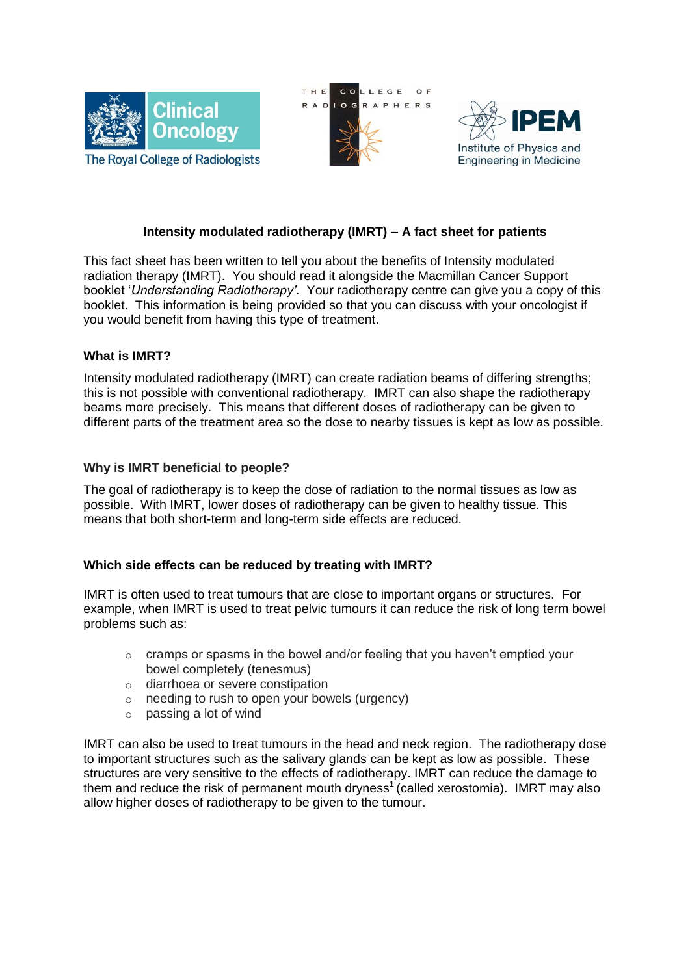





# **Intensity modulated radiotherapy (IMRT) – A fact sheet for patients**

This fact sheet has been written to tell you about the benefits of Intensity modulated radiation therapy (IMRT). You should read it alongside the Macmillan Cancer Support booklet '*Understanding Radiotherapy'*. Your radiotherapy centre can give you a copy of this booklet. This information is being provided so that you can discuss with your oncologist if you would benefit from having this type of treatment.

# **What is IMRT?**

Intensity modulated radiotherapy (IMRT) can create radiation beams of differing strengths; this is not possible with conventional radiotherapy. IMRT can also shape the radiotherapy beams more precisely. This means that different doses of radiotherapy can be given to different parts of the treatment area so the dose to nearby tissues is kept as low as possible.

# **Why is IMRT beneficial to people?**

The goal of radiotherapy is to keep the dose of radiation to the normal tissues as low as possible. With IMRT, lower doses of radiotherapy can be given to healthy tissue. This means that both short-term and long-term side effects are reduced.

# **Which side effects can be reduced by treating with IMRT?**

IMRT is often used to treat tumours that are close to important organs or structures. For example, when IMRT is used to treat pelvic tumours it can reduce the risk of long term bowel problems such as:

- $\circ$  cramps or spasms in the bowel and/or feeling that you haven't emptied your bowel completely (tenesmus)
- o diarrhoea or severe constipation
- $\circ$  needing to rush to open your bowels (urgency)
- $\circ$  passing a lot of wind

IMRT can also be used to treat tumours in the head and neck region. The radiotherapy dose to important structures such as the salivary glands can be kept as low as possible. These structures are very sensitive to the effects of radiotherapy. IMRT can reduce the damage to them and reduce the risk of permanent mouth dryness<sup>1</sup> (called xerostomia). IMRT may also allow higher doses of radiotherapy to be given to the tumour.